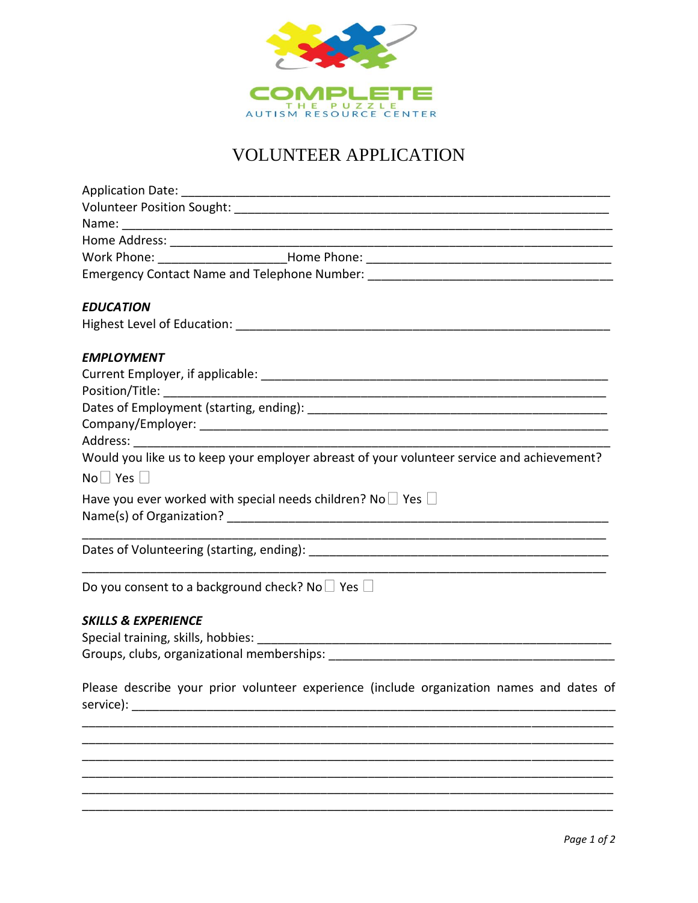

## VOLUNTEER APPLICATION

|                                | Emergency Contact Name and Telephone Number: ___________________________________           |
|--------------------------------|--------------------------------------------------------------------------------------------|
| <b>EDUCATION</b>               |                                                                                            |
|                                |                                                                                            |
| <b>EMPLOYMENT</b>              |                                                                                            |
|                                |                                                                                            |
|                                |                                                                                            |
|                                |                                                                                            |
|                                |                                                                                            |
|                                |                                                                                            |
|                                | Would you like us to keep your employer abreast of your volunteer service and achievement? |
| $No \Box Yes \Box$             |                                                                                            |
|                                | Have you ever worked with special needs children? No $\Box$ Yes $\Box$                     |
|                                |                                                                                            |
|                                |                                                                                            |
|                                | Do you consent to a background check? No $\Box$ Yes $\Box$                                 |
| <b>SKILLS &amp; EXPERIENCE</b> |                                                                                            |
|                                |                                                                                            |
|                                |                                                                                            |
| service):                      | Please describe your prior volunteer experience (include organization names and dates of   |
|                                |                                                                                            |
|                                |                                                                                            |
|                                |                                                                                            |
|                                |                                                                                            |
|                                |                                                                                            |
|                                |                                                                                            |